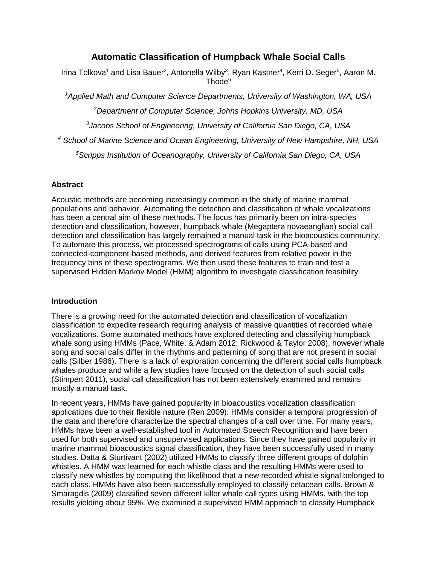# **Automatic Classification of Humpback Whale Social Calls**

Irina Tolkova<sup>1</sup> and Lisa Bauer<sup>2</sup>, Antonella Wilby<sup>3</sup>, Ryan Kastner<sup>4</sup>, Kerri D. Seger<sup>5</sup>, Aaron M. Thode<sup>6</sup>

*<sup>1</sup>Applied Math and Computer Science Departments, University of Washington, WA, USA <sup>2</sup>Department of Computer Science, Johns Hopkins University, MD, USA*

*3 Jacobs School of Engineering, University of California San Diego, CA, USA*

*<sup>4</sup> School of Marine Science and Ocean Engineering, University of New Hampshire, NH, USA*

*<sup>5</sup>Scripps Institution of Oceanography, University of California San Diego, CA, USA* 

# **Abstract**

Acoustic methods are becoming increasingly common in the study of marine mammal populations and behavior. Automating the detection and classification of whale vocalizations has been a central aim of these methods. The focus has primarily been on intra-species detection and classification, however, humpback whale (Megaptera novaeangliae) social call detection and classification has largely remained a manual task in the bioacoustics community. To automate this process, we processed spectrograms of calls using PCA-based and connected-component-based methods, and derived features from relative power in the frequency bins of these spectrograms. We then used these features to train and test a supervised Hidden Markov Model (HMM) algorithm to investigate classification feasibility.

# **Introduction**

There is a growing need for the automated detection and classification of vocalization classification to expedite research requiring analysis of massive quantities of recorded whale vocalizations. Some automated methods have explored detecting and classifying humpback whale song using HMMs (Pace, White, & Adam 2012; Rickwood & Taylor 2008), however whale song and social calls differ in the rhythms and patterning of song that are not present in social calls (Silber 1986). There is a lack of exploration concerning the different social calls humpback whales produce and while a few studies have focused on the detection of such social calls (Stimpert 2011), social call classification has not been extensively examined and remains mostly a manual task.

In recent years, HMMs have gained popularity in bioacoustics vocalization classification applications due to their flexible nature (Ren 2009). HMMs consider a temporal progression of the data and therefore characterize the spectral changes of a call over time. For many years, HMMs have been a well-established tool in Automated Speech Recognition and have been used for both supervised and unsupervised applications. Since they have gained popularity in marine mammal bioacoustics signal classification, they have been successfully used in many studies. Datta & Sturtivant (2002) utilized HMMs to classify three different groups of dolphin whistles. A HMM was learned for each whistle class and the resulting HMMs were used to classify new whistles by computing the likelihood that a new recorded whistle signal belonged to each class. HMMs have also been successfully employed to classify cetacean calls. Brown & Smaragdis (2009) classified seven different killer whale call types using HMMs, with the top results yielding about 95%. We examined a supervised HMM approach to classify Humpback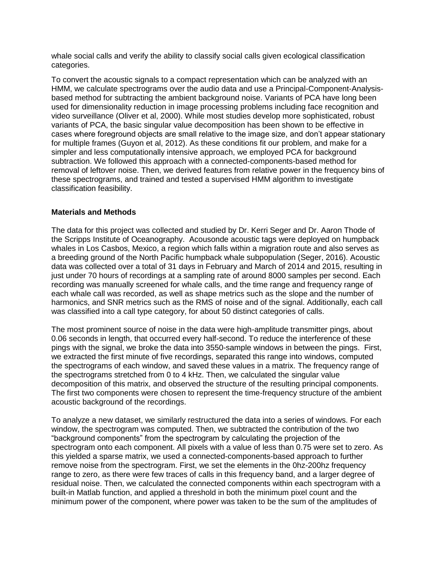whale social calls and verify the ability to classify social calls given ecological classification categories.

To convert the acoustic signals to a compact representation which can be analyzed with an HMM, we calculate spectrograms over the audio data and use a Principal-Component-Analysisbased method for subtracting the ambient background noise. Variants of PCA have long been used for dimensionality reduction in image processing problems including face recognition and video surveillance (Oliver et al, 2000). While most studies develop more sophisticated, robust variants of PCA, the basic singular value decomposition has been shown to be effective in cases where foreground objects are small relative to the image size, and don't appear stationary for multiple frames (Guyon et al, 2012). As these conditions fit our problem, and make for a simpler and less computationally intensive approach, we employed PCA for background subtraction. We followed this approach with a connected-components-based method for removal of leftover noise. Then, we derived features from relative power in the frequency bins of these spectrograms, and trained and tested a supervised HMM algorithm to investigate classification feasibility.

### **Materials and Methods**

The data for this project was collected and studied by Dr. Kerri Seger and Dr. Aaron Thode of the Scripps Institute of Oceanography. Acousonde acoustic tags were deployed on humpback whales in Los Casbos, Mexico, a region which falls within a migration route and also serves as a breeding ground of the North Pacific humpback whale subpopulation (Seger, 2016). Acoustic data was collected over a total of 31 days in February and March of 2014 and 2015, resulting in just under 70 hours of recordings at a sampling rate of around 8000 samples per second. Each recording was manually screened for whale calls, and the time range and frequency range of each whale call was recorded, as well as shape metrics such as the slope and the number of harmonics, and SNR metrics such as the RMS of noise and of the signal. Additionally, each call was classified into a call type category, for about 50 distinct categories of calls.

The most prominent source of noise in the data were high-amplitude transmitter pings, about 0.06 seconds in length, that occurred every half-second. To reduce the interference of these pings with the signal, we broke the data into 3550-sample windows in between the pings. First, we extracted the first minute of five recordings, separated this range into windows, computed the spectrograms of each window, and saved these values in a matrix. The frequency range of the spectrograms stretched from 0 to 4 kHz. Then, we calculated the singular value decomposition of this matrix, and observed the structure of the resulting principal components. The first two components were chosen to represent the time-frequency structure of the ambient acoustic background of the recordings.

To analyze a new dataset, we similarly restructured the data into a series of windows. For each window, the spectrogram was computed. Then, we subtracted the contribution of the two "background components" from the spectrogram by calculating the projection of the spectrogram onto each component. All pixels with a value of less than 0.75 were set to zero. As this yielded a sparse matrix, we used a connected-components-based approach to further remove noise from the spectrogram. First, we set the elements in the 0hz-200hz frequency range to zero, as there were few traces of calls in this frequency band, and a larger degree of residual noise. Then, we calculated the connected components within each spectrogram with a built-in Matlab function, and applied a threshold in both the minimum pixel count and the minimum power of the component, where power was taken to be the sum of the amplitudes of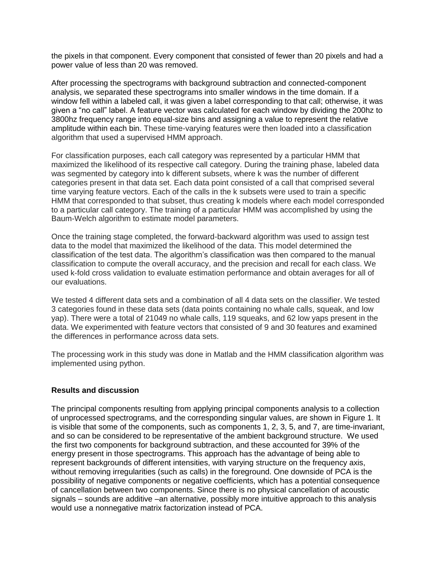the pixels in that component. Every component that consisted of fewer than 20 pixels and had a power value of less than 20 was removed.

After processing the spectrograms with background subtraction and connected-component analysis, we separated these spectrograms into smaller windows in the time domain. If a window fell within a labeled call, it was given a label corresponding to that call; otherwise, it was given a "no call" label. A feature vector was calculated for each window by dividing the 200hz to 3800hz frequency range into equal-size bins and assigning a value to represent the relative amplitude within each bin. These time-varying features were then loaded into a classification algorithm that used a supervised HMM approach.

For classification purposes, each call category was represented by a particular HMM that maximized the likelihood of its respective call category. During the training phase, labeled data was segmented by category into k different subsets, where k was the number of different categories present in that data set. Each data point consisted of a call that comprised several time varying feature vectors. Each of the calls in the k subsets were used to train a specific HMM that corresponded to that subset, thus creating k models where each model corresponded to a particular call category. The training of a particular HMM was accomplished by using the Baum-Welch algorithm to estimate model parameters.

Once the training stage completed, the forward-backward algorithm was used to assign test data to the model that maximized the likelihood of the data. This model determined the classification of the test data. The algorithm's classification was then compared to the manual classification to compute the overall accuracy, and the precision and recall for each class. We used k-fold cross validation to evaluate estimation performance and obtain averages for all of our evaluations.

We tested 4 different data sets and a combination of all 4 data sets on the classifier. We tested 3 categories found in these data sets (data points containing no whale calls, squeak, and low yap). There were a total of 21049 no whale calls, 119 squeaks, and 62 low yaps present in the data. We experimented with feature vectors that consisted of 9 and 30 features and examined the differences in performance across data sets.

The processing work in this study was done in Matlab and the HMM classification algorithm was implemented using python.

### **Results and discussion**

The principal components resulting from applying principal components analysis to a collection of unprocessed spectrograms, and the corresponding singular values, are shown in Figure 1. It is visible that some of the components, such as components 1, 2, 3, 5, and 7, are time-invariant, and so can be considered to be representative of the ambient background structure. We used the first two components for background subtraction, and these accounted for 39% of the energy present in those spectrograms. This approach has the advantage of being able to represent backgrounds of different intensities, with varying structure on the frequency axis, without removing irregularities (such as calls) in the foreground. One downside of PCA is the possibility of negative components or negative coefficients, which has a potential consequence of cancellation between two components. Since there is no physical cancellation of acoustic signals – sounds are additive –an alternative, possibly more intuitive approach to this analysis would use a nonnegative matrix factorization instead of PCA.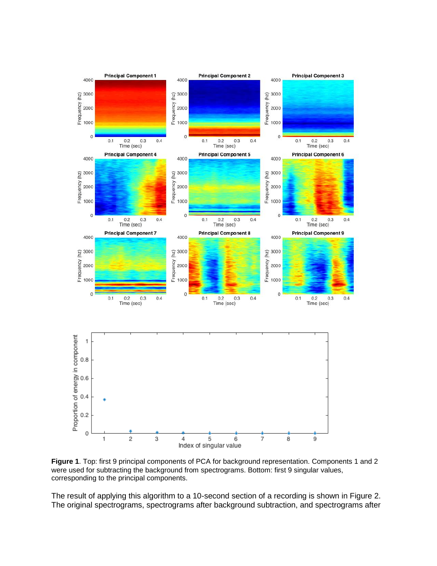

**Figure 1**. Top: first 9 principal components of PCA for background representation. Components 1 and 2 were used for subtracting the background from spectrograms. Bottom: first 9 singular values, corresponding to the principal components.

The result of applying this algorithm to a 10-second section of a recording is shown in Figure 2. The original spectrograms, spectrograms after background subtraction, and spectrograms after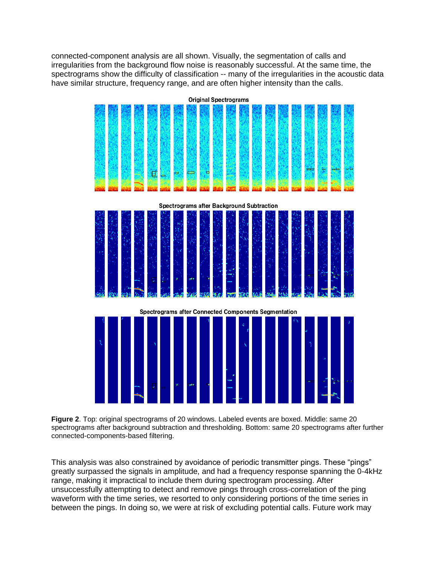connected-component analysis are all shown. Visually, the segmentation of calls and irregularities from the background flow noise is reasonably successful. At the same time, the spectrograms show the difficulty of classification -- many of the irregularities in the acoustic data have similar structure, frequency range, and are often higher intensity than the calls.



**Figure 2**. Top: original spectrograms of 20 windows. Labeled events are boxed. Middle: same 20 spectrograms after background subtraction and thresholding. Bottom: same 20 spectrograms after further connected-components-based filtering.

This analysis was also constrained by avoidance of periodic transmitter pings. These "pings" greatly surpassed the signals in amplitude, and had a frequency response spanning the 0-4kHz range, making it impractical to include them during spectrogram processing. After unsuccessfully attempting to detect and remove pings through cross-correlation of the ping waveform with the time series, we resorted to only considering portions of the time series in between the pings. In doing so, we were at risk of excluding potential calls. Future work may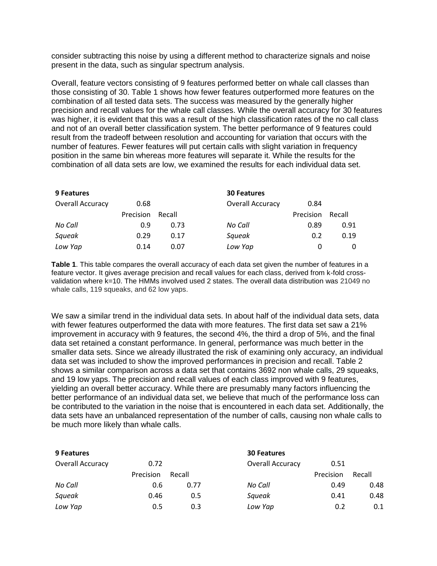consider subtracting this noise by using a different method to characterize signals and noise present in the data, such as singular spectrum analysis.

Overall, feature vectors consisting of 9 features performed better on whale call classes than those consisting of 30. Table 1 shows how fewer features outperformed more features on the combination of all tested data sets. The success was measured by the generally higher precision and recall values for the whale call classes. While the overall accuracy for 30 features was higher, it is evident that this was a result of the high classification rates of the no call class and not of an overall better classification system. The better performance of 9 features could result from the tradeoff between resolution and accounting for variation that occurs with the number of features. Fewer features will put certain calls with slight variation in frequency position in the same bin whereas more features will separate it. While the results for the combination of all data sets are low, we examined the results for each individual data set.

| 9 Features       |                  |        | <b>30 Features</b>      |                  |        |
|------------------|------------------|--------|-------------------------|------------------|--------|
| Overall Accuracy | 0.68             |        | <b>Overall Accuracy</b> | 0.84             |        |
|                  | <b>Precision</b> | Recall |                         | <b>Precision</b> | Recall |
| No Call          | 0.9              | 0.73   | No Call                 | 0.89             | 0.91   |
| Squeak           | 0.29             | 0.17   | Squeak                  | 0.2              | 0.19   |
| Low Yap          | 0.14             | 0.07   | Low Yap                 |                  |        |

**Table 1**. This table compares the overall accuracy of each data set given the number of features in a feature vector. It gives average precision and recall values for each class, derived from k-fold crossvalidation where k=10. The HMMs involved used 2 states. The overall data distribution was 21049 no whale calls, 119 squeaks, and 62 low yaps.

We saw a similar trend in the individual data sets. In about half of the individual data sets, data with fewer features outperformed the data with more features. The first data set saw a 21% improvement in accuracy with 9 features, the second 4%, the third a drop of 5%, and the final data set retained a constant performance. In general, performance was much better in the smaller data sets. Since we already illustrated the risk of examining only accuracy, an individual data set was included to show the improved performances in precision and recall. Table 2 shows a similar comparison across a data set that contains 3692 non whale calls, 29 squeaks, and 19 low yaps. The precision and recall values of each class improved with 9 features, yielding an overall better accuracy. While there are presumably many factors influencing the better performance of an individual data set, we believe that much of the performance loss can be contributed to the variation in the noise that is encountered in each data set. Additionally, the data sets have an unbalanced representation of the number of calls, causing non whale calls to be much more likely than whale calls.

| 9 Features       |           |        | <b>30 Features</b>      |           |        |
|------------------|-----------|--------|-------------------------|-----------|--------|
| Overall Accuracy | 0.72      |        | <b>Overall Accuracy</b> | 0.51      |        |
|                  | Precision | Recall |                         | Precision | Recall |
| No Call          | 0.6       | 0.77   | No Call                 | 0.49      | 0.48   |
| Squeak           | 0.46      | 0.5    | Squeak                  | 0.41      | 0.48   |
| Low Yap          | 0.5       | 0.3    | Low Yap                 | 0.2       | 0.1    |